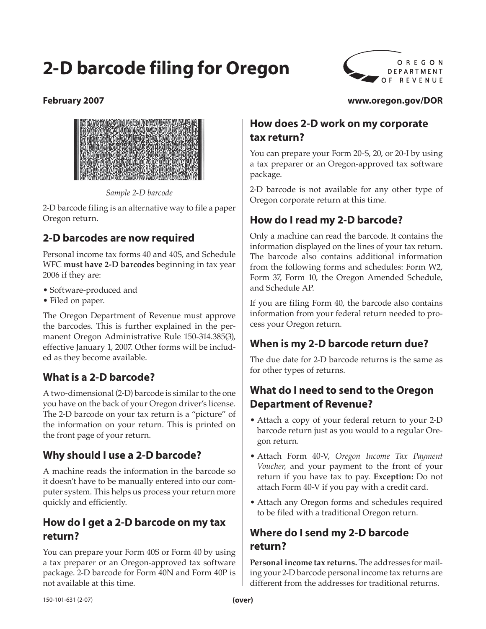# **2-D barcode filing for Oregon**



#### **February 2007 www.oregon.gov/DOR**



*Sample 2-D barcode*

2-D barcode filing is an alternative way to file a paper Oregon return.

#### **2-D barcodes are now required**

Personal income tax forms 40 and 40S, and Schedule WFC **must have 2-D barcodes** beginning in tax year 2006 if they are:

- Software-produced and
- Filed on paper.

The Oregon Department of Revenue must approve the barcodes. This is further explained in the permanent Oregon Administrative Rule 150-314.385(3), effective January 1, 2007. Other forms will be included as they become available.

#### **What is a 2-D barcode?**

A two-dimensional (2-D) barcode is similar to the one you have on the back of your Oregon driver's license. The 2-D barcode on your tax return is a "picture" of the information on your return. This is printed on the front page of your return.

#### **Why should I use a 2-D barcode?**

A machine reads the information in the barcode so it doesn't have to be manually entered into our computer system. This helps us process your return more quickly and efficiently.

#### **How do I get a 2-D barcode on my tax return?**

You can prepare your Form 40S or Form 40 by using a tax preparer or an Oregon-approved tax software package. 2-D barcode for Form 40N and Form 40P is not available at this time.

#### **How does 2-D work on my corporate tax return?**

You can prepare your Form 20-S, 20, or 20-I by using a tax preparer or an Oregon-approved tax software package.

2-D barcode is not available for any other type of Oregon corporate return at this time.

#### **How do I read my 2-D barcode?**

Only a machine can read the barcode. It contains the information displayed on the lines of your tax return. The barcode also contains additional information from the following forms and schedules: Form W2, Form 37, Form 10, the Oregon Amended Schedule, and Schedule AP.

If you are filing Form 40, the barcode also contains information from your federal return needed to process your Oregon return.

#### **When is my 2-D barcode return due?**

The due date for 2-D barcode returns is the same as for other types of returns.

#### **What do I need to send to the Oregon Department of Revenue?**

- Attach a copy of your federal return to your 2-D barcode return just as you would to a regular Oregon return.
- Attach Form 40-V, *Oregon Income Tax Payment Voucher,* and your payment to the front of your return if you have tax to pay. **Exception:** Do not attach Form 40-V if you pay with a credit card.
- Attach any Oregon forms and schedules required to be filed with a traditional Oregon return.

## **Where do I send my 2-D barcode return?**

**Personal income tax returns.** The addresses for mailing your 2-D barcode personal income tax returns are different from the addresses for traditional returns.